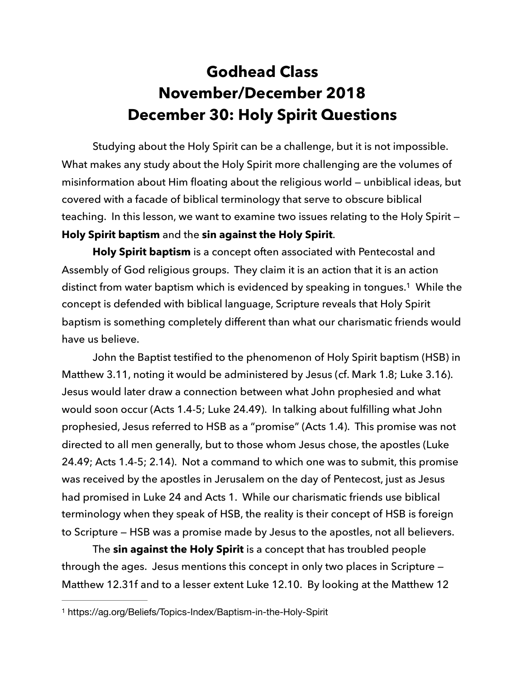## **Godhead Class November/December 2018 December 30: Holy Spirit Questions**

Studying about the Holy Spirit can be a challenge, but it is not impossible. What makes any study about the Holy Spirit more challenging are the volumes of misinformation about Him floating about the religious world — unbiblical ideas, but covered with a facade of biblical terminology that serve to obscure biblical teaching. In this lesson, we want to examine two issues relating to the Holy Spirit — **Holy Spirit baptism** and the **sin against the Holy Spirit**.

<span id="page-0-1"></span>**Holy Spirit baptism** is a concept often associated with Pentecostal and Assembly of God religious groups. They claim it is an action that it is an action distinct from water baptism which is evidenced by speaking in tongues.<sup>[1](#page-0-0)</sup> While the concept is defended with biblical language, Scripture reveals that Holy Spirit baptism is something completely different than what our charismatic friends would have us believe.

 John the Baptist testified to the phenomenon of Holy Spirit baptism (HSB) in Matthew 3.11, noting it would be administered by Jesus (cf. Mark 1.8; Luke 3.16). Jesus would later draw a connection between what John prophesied and what would soon occur (Acts 1.4-5; Luke 24.49). In talking about fulfilling what John prophesied, Jesus referred to HSB as a "promise" (Acts 1.4). This promise was not directed to all men generally, but to those whom Jesus chose, the apostles (Luke 24.49; Acts 1.4-5; 2.14). Not a command to which one was to submit, this promise was received by the apostles in Jerusalem on the day of Pentecost, just as Jesus had promised in Luke 24 and Acts 1. While our charismatic friends use biblical terminology when they speak of HSB, the reality is their concept of HSB is foreign to Scripture — HSB was a promise made by Jesus to the apostles, not all believers.

 The **sin against the Holy Spirit** is a concept that has troubled people through the ages. Jesus mentions this concept in only two places in Scripture — Matthew 12.31f and to a lesser extent Luke 12.10. By looking at the Matthew 12

<span id="page-0-0"></span><sup>&</sup>lt;sup>[1](#page-0-1)</sup> https://ag.org/Beliefs/Topics-Index/Baptism-in-the-Holy-Spirit